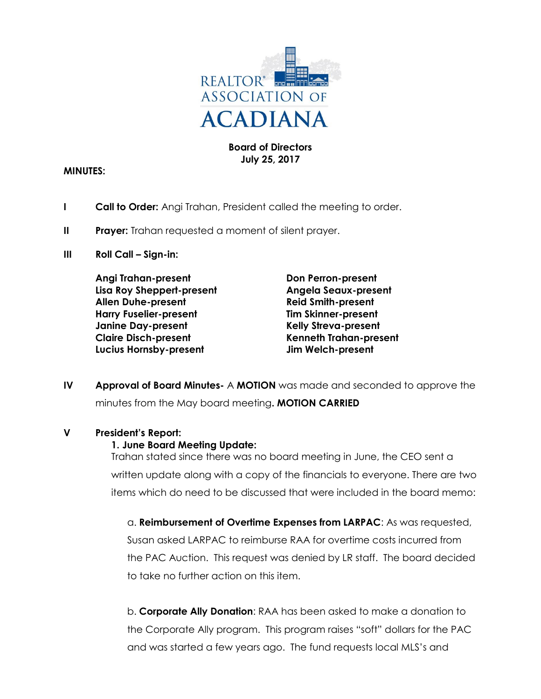

### **Board of Directors July 25, 2017**

### **MINUTES:**

- **I Call to Order:** Angi Trahan, President called the meeting to order.
- **II** Prayer: Trahan requested a moment of silent prayer.
- **III Roll Call Sign-in:**

**Angi Trahan-present Don Perron-present Lisa Roy Sheppert-present Angela Seaux-present Allen Duhe-present Reid Smith-present Harry Fuselier-present Tim Skinner-present Janine Day-present Kelly Streva-present Claire Disch-present Kenneth Trahan-present Lucius Hornsby-present Jim Welch-present**

**IV Approval of Board Minutes-** A **MOTION** was made and seconded to approve the minutes from the May board meeting**. MOTION CARRIED**

### **V President's Report:**

### **1. June Board Meeting Update:**

Trahan stated since there was no board meeting in June, the CEO sent a written update along with a copy of the financials to everyone. There are two items which do need to be discussed that were included in the board memo:

a. **Reimbursement of Overtime Expenses from LARPAC**: As was requested, Susan asked LARPAC to reimburse RAA for overtime costs incurred from the PAC Auction. This request was denied by LR staff. The board decided to take no further action on this item.

b. **Corporate Ally Donation**: RAA has been asked to make a donation to the Corporate Ally program. This program raises "soft" dollars for the PAC and was started a few years ago. The fund requests local MLS's and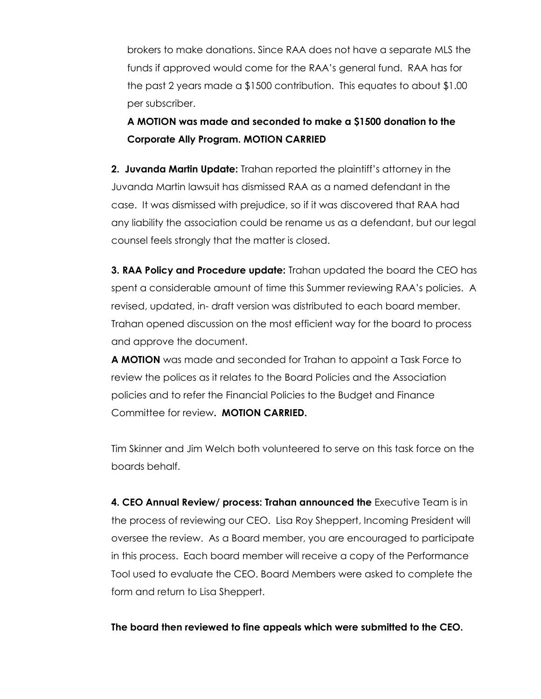brokers to make donations. Since RAA does not have a separate MLS the funds if approved would come for the RAA's general fund. RAA has for the past 2 years made a \$1500 contribution. This equates to about \$1.00 per subscriber.

## **A MOTION was made and seconded to make a \$1500 donation to the Corporate Ally Program. MOTION CARRIED**

**2. Juvanda Martin Update:** Trahan reported the plaintiff's attorney in the Juvanda Martin lawsuit has dismissed RAA as a named defendant in the case. It was dismissed with prejudice, so if it was discovered that RAA had any liability the association could be rename us as a defendant, but our legal counsel feels strongly that the matter is closed.

**3. RAA Policy and Procedure update:** Trahan updated the board the CEO has spent a considerable amount of time this Summer reviewing RAA's policies. A revised, updated, in- draft version was distributed to each board member. Trahan opened discussion on the most efficient way for the board to process and approve the document.

**A MOTION** was made and seconded for Trahan to appoint a Task Force to review the polices as it relates to the Board Policies and the Association policies and to refer the Financial Policies to the Budget and Finance Committee for review**. MOTION CARRIED.**

Tim Skinner and Jim Welch both volunteered to serve on this task force on the boards behalf.

**4. CEO Annual Review/ process: Trahan announced the** Executive Team is in the process of reviewing our CEO. Lisa Roy Sheppert, Incoming President will oversee the review. As a Board member, you are encouraged to participate in this process. Each board member will receive a copy of the Performance Tool used to evaluate the CEO. Board Members were asked to complete the form and return to Lisa Sheppert.

**The board then reviewed to fine appeals which were submitted to the CEO.**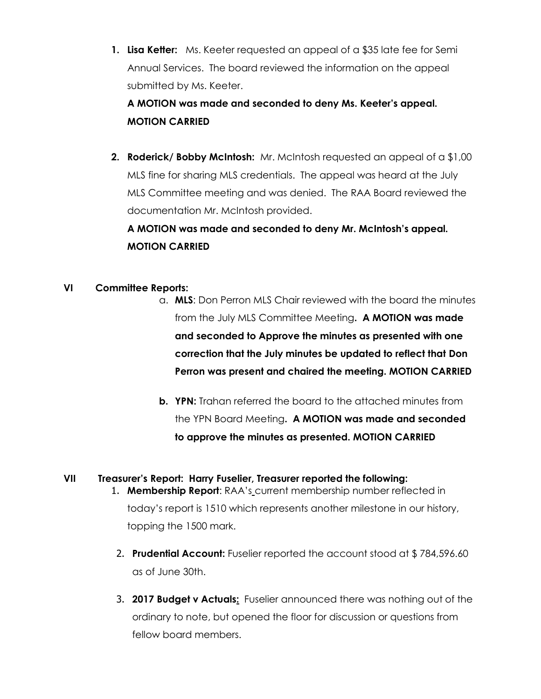**1. Lisa Ketter:** Ms. Keeter requested an appeal of a \$35 late fee for Semi Annual Services. The board reviewed the information on the appeal submitted by Ms. Keeter.

**A MOTION was made and seconded to deny Ms. Keeter's appeal. MOTION CARRIED**

**2. Roderick/ Bobby McIntosh:** Mr. McIntosh requested an appeal of a \$1,00 MLS fine for sharing MLS credentials. The appeal was heard at the July MLS Committee meeting and was denied. The RAA Board reviewed the documentation Mr. McIntosh provided.

# **A MOTION was made and seconded to deny Mr. McIntosh's appeal. MOTION CARRIED**

## **VI Committee Reports:**

- a. **MLS**: Don Perron MLS Chair reviewed with the board the minutes from the July MLS Committee Meeting**. A MOTION was made and seconded to Approve the minutes as presented with one correction that the July minutes be updated to reflect that Don Perron was present and chaired the meeting. MOTION CARRIED**
- **b. YPN:** Trahan referred the board to the attached minutes from the YPN Board Meeting**. A MOTION was made and seconded to approve the minutes as presented. MOTION CARRIED**

#### **VII Treasurer's Report: Harry Fuselier, Treasurer reported the following:** 1. **Membership Report:** RAA's current membership number reflected in

today's report is 1510 which represents another milestone in our history, topping the 1500 mark.

- 2. **Prudential Account:** Fuselier reported the account stood at \$ 784,596.60 as of June 30th.
- 3. **2017 Budget v Actuals:** Fuselier announced there was nothing out of the ordinary to note, but opened the floor for discussion or questions from fellow board members.